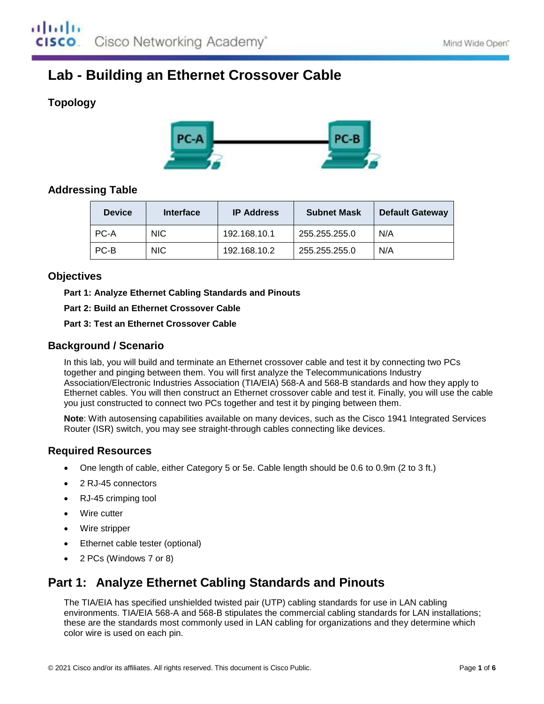# **Lab - Building an Ethernet Crossover Cable**

## **Topology**



## **Addressing Table**

| <b>Device</b> | Interface  | <b>IP Address</b> | <b>Subnet Mask</b> | <b>Default Gateway</b> |
|---------------|------------|-------------------|--------------------|------------------------|
| PC-A          | NIC.       | 192.168.10.1      | 255.255.255.0      | N/A                    |
| PC-B          | <b>NIC</b> | 192.168.10.2      | 255.255.255.0      | N/A                    |

## **Objectives**

**Part 1: Analyze Ethernet Cabling Standards and Pinouts**

**Part 2: Build an Ethernet Crossover Cable**

**Part 3: Test an Ethernet Crossover Cable**

## **Background / Scenario**

In this lab, you will build and terminate an Ethernet crossover cable and test it by connecting two PCs together and pinging between them. You will first analyze the Telecommunications Industry Association/Electronic Industries Association (TIA/EIA) 568-A and 568-B standards and how they apply to Ethernet cables. You will then construct an Ethernet crossover cable and test it. Finally, you will use the cable you just constructed to connect two PCs together and test it by pinging between them.

**Note**: With autosensing capabilities available on many devices, such as the Cisco 1941 Integrated Services Router (ISR) switch, you may see straight-through cables connecting like devices.

## **Required Resources**

- One length of cable, either Category 5 or 5e. Cable length should be 0.6 to 0.9m (2 to 3 ft.)
- 2 RJ-45 connectors
- RJ-45 crimping tool
- Wire cutter
- Wire stripper
- Ethernet cable tester (optional)
- 2 PCs (Windows 7 or 8)

## **Part 1: Analyze Ethernet Cabling Standards and Pinouts**

The TIA/EIA has specified unshielded twisted pair (UTP) cabling standards for use in LAN cabling environments. TIA/EIA 568-A and 568-B stipulates the commercial cabling standards for LAN installations; these are the standards most commonly used in LAN cabling for organizations and they determine which color wire is used on each pin.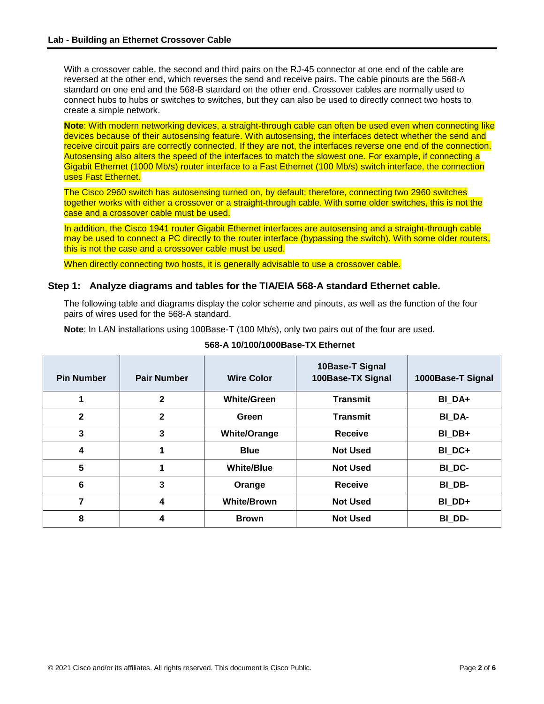With a crossover cable, the second and third pairs on the RJ-45 connector at one end of the cable are reversed at the other end, which reverses the send and receive pairs. The cable pinouts are the 568-A standard on one end and the 568-B standard on the other end. Crossover cables are normally used to connect hubs to hubs or switches to switches, but they can also be used to directly connect two hosts to create a simple network.

**Note**: With modern networking devices, a straight-through cable can often be used even when connecting like devices because of their autosensing feature. With autosensing, the interfaces detect whether the send and receive circuit pairs are correctly connected. If they are not, the interfaces reverse one end of the connection. Autosensing also alters the speed of the interfaces to match the slowest one. For example, if connecting a Gigabit Ethernet (1000 Mb/s) router interface to a Fast Ethernet (100 Mb/s) switch interface, the connection uses Fast Ethernet.

The Cisco 2960 switch has autosensing turned on, by default; therefore, connecting two 2960 switches together works with either a crossover or a straight-through cable. With some older switches, this is not the case and a crossover cable must be used.

In addition, the Cisco 1941 router Gigabit Ethernet interfaces are autosensing and a straight-through cable may be used to connect a PC directly to the router interface (bypassing the switch). With some older routers, this is not the case and a crossover cable must be used.

When directly connecting two hosts, it is generally advisable to use a crossover cable.

#### **Step 1: Analyze diagrams and tables for the TIA/EIA 568-A standard Ethernet cable.**

The following table and diagrams display the color scheme and pinouts, as well as the function of the four pairs of wires used for the 568-A standard.

**Note**: In LAN installations using 100Base-T (100 Mb/s), only two pairs out of the four are used.

| <b>Pin Number</b> | <b>Pair Number</b> | <b>Wire Color</b>   | 10Base-T Signal<br>100Base-TX Signal | 1000Base-T Signal |
|-------------------|--------------------|---------------------|--------------------------------------|-------------------|
| 1                 | $\mathbf{2}$       | <b>White/Green</b>  | <b>Transmit</b>                      | BI DA+            |
| $\mathbf{2}$      | $\mathbf{2}$       | Green               | <b>Transmit</b>                      | BI DA-            |
| 3                 | 3                  | <b>White/Orange</b> | <b>Receive</b>                       | BI DB+            |
| 4                 |                    | <b>Blue</b>         | <b>Not Used</b>                      | BI DC+            |
| 5                 | 1                  | <b>White/Blue</b>   | <b>Not Used</b>                      | BI DC-            |
| 6                 | 3                  | Orange              | <b>Receive</b>                       | BI DB-            |
| 7                 | 4                  | <b>White/Brown</b>  | <b>Not Used</b>                      | BI DD+            |
| 8                 | 4                  | <b>Brown</b>        | <b>Not Used</b>                      | BI DD-            |

#### **568-A 10/100/1000Base-TX Ethernet**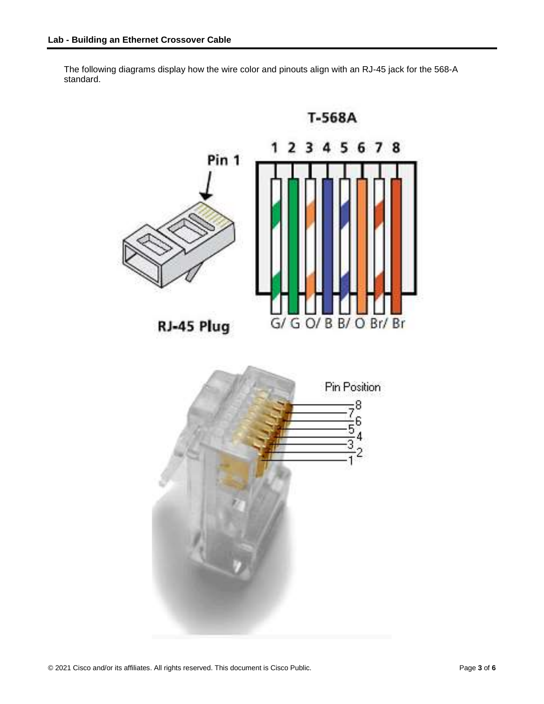The following diagrams display how the wire color and pinouts align with an RJ-45 jack for the 568-A standard.

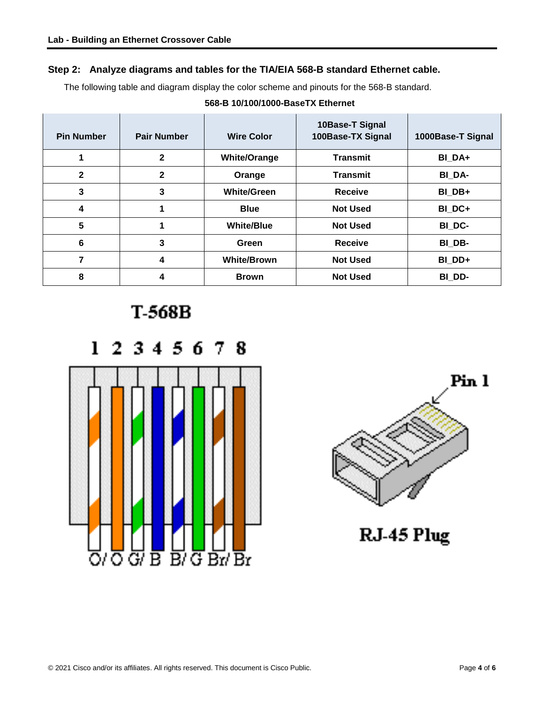## **Step 2: Analyze diagrams and tables for the TIA/EIA 568-B standard Ethernet cable.**

The following table and diagram display the color scheme and pinouts for the 568-B standard.

### **568-B 10/100/1000-BaseTX Ethernet**

| <b>Pin Number</b> | <b>Pair Number</b> | <b>Wire Color</b>   | 10Base-T Signal<br>100Base-TX Signal | 1000Base-T Signal |
|-------------------|--------------------|---------------------|--------------------------------------|-------------------|
|                   | $\mathbf{2}$       | <b>White/Orange</b> | <b>Transmit</b>                      | BI DA+            |
| $\mathbf{2}$      | $\mathbf{2}$       | Orange              | <b>Transmit</b>                      | BI DA-            |
| 3                 | 3                  | <b>White/Green</b>  | <b>Receive</b>                       | BI DB+            |
| 4                 |                    | <b>Blue</b>         | <b>Not Used</b>                      | BI DC+            |
| 5                 |                    | <b>White/Blue</b>   | <b>Not Used</b>                      | BI DC-            |
| 6                 | 3                  | Green               | <b>Receive</b>                       | BI DB-            |
| 7                 | 4                  | <b>White/Brown</b>  | <b>Not Used</b>                      | BI DD+            |
| 8                 | 4                  | <b>Brown</b>        | <b>Not Used</b>                      | BI DD-            |

T-568B





RJ-45 Plug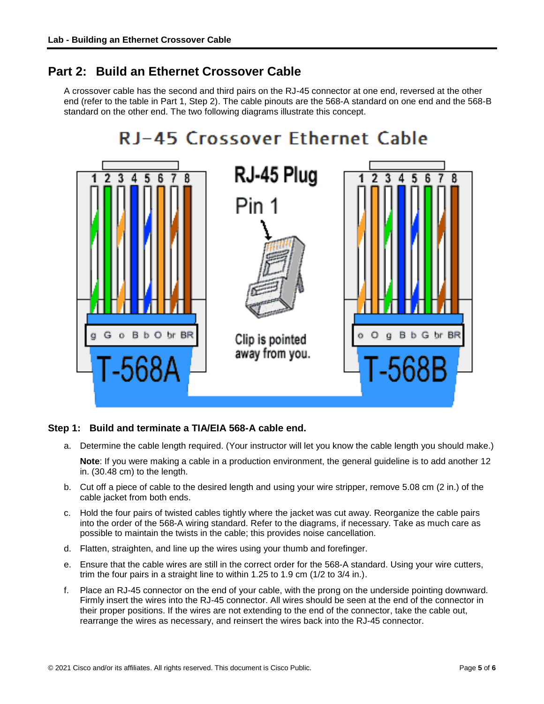## **Part 2: Build an Ethernet Crossover Cable**

A crossover cable has the second and third pairs on the RJ-45 connector at one end, reversed at the other end (refer to the table in Part 1, Step 2). The cable pinouts are the 568-A standard on one end and the 568-B standard on the other end. The two following diagrams illustrate this concept.



### **Step 1: Build and terminate a TIA/EIA 568-A cable end.**

- a. Determine the cable length required. (Your instructor will let you know the cable length you should make.) **Note**: If you were making a cable in a production environment, the general guideline is to add another 12 in. (30.48 cm) to the length.
- b. Cut off a piece of cable to the desired length and using your wire stripper, remove 5.08 cm (2 in.) of the cable jacket from both ends.
- c. Hold the four pairs of twisted cables tightly where the jacket was cut away. Reorganize the cable pairs into the order of the 568-A wiring standard. Refer to the diagrams, if necessary. Take as much care as possible to maintain the twists in the cable; this provides noise cancellation.
- d. Flatten, straighten, and line up the wires using your thumb and forefinger.
- e. Ensure that the cable wires are still in the correct order for the 568-A standard. Using your wire cutters, trim the four pairs in a straight line to within 1.25 to 1.9 cm (1/2 to 3/4 in.).
- f. Place an RJ-45 connector on the end of your cable, with the prong on the underside pointing downward. Firmly insert the wires into the RJ-45 connector. All wires should be seen at the end of the connector in their proper positions. If the wires are not extending to the end of the connector, take the cable out, rearrange the wires as necessary, and reinsert the wires back into the RJ-45 connector.